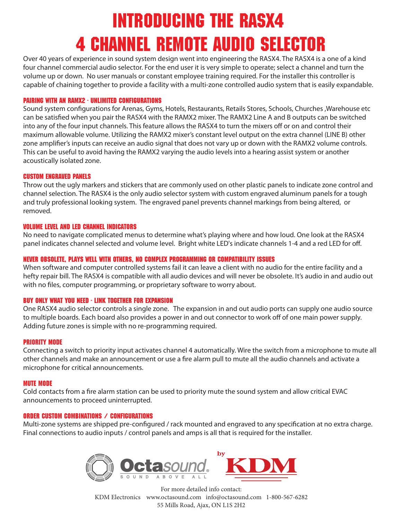## Introducing the RASX4 4 CHANNEL Remote Audio Selector

Over 40 years of experience in sound system design went into engineering the RASX4. The RASX4 is a one of a kind four channel commercial audio selector. For the end user it is very simple to operate; select a channel and turn the volume up or down. No user manuals or constant employee training required. For the installer this controller is capable of chaining together to provide a facility with a multi-zone controlled audio system that is easily expandable.

## PAIRING WITH AN RAMX2 - UNLIMITED CONFIGURATIONS

Sound system configurations for Arenas, Gyms, Hotels, Restaurants, Retails Stores, Schools, Churches , Warehouse etc can be satisfied when you pair the RASX4 with the RAMX2 mixer. The RAMX2 Line A and B outputs can be switched into any of the four input channels. This feature allows the RASX4 to turn the mixers off or on and control their maximum allowable volume. Utilizing the RAMX2 mixer's constant level output on the extra channel (LINE B) other zone amplifier's inputs can receive an audio signal that does not vary up or down with the RAMX2 volume controls. This can be useful to avoid having the RAMX2 varying the audio levels into a hearing assist system or another acoustically isolated zone.

### Custom engraved panels

Throw out the ugly markers and stickers that are commonly used on other plastic panels to indicate zone control and channel selection. The RASX4 is the only audio selector system with custom engraved aluminum panels for a tough and truly professional looking system. The engraved panel prevents channel markings from being altered, or removed.

#### VOLUME Level and LED channel indicators

No need to navigate complicated menus to determine what's playing where and how loud. One look at the RASX4 panel indicates channel selected and volume level. Bright white LED's indicate channels 1-4 and a red LED for off.

## NEVER OBSOLETE, Plays well with others, NO COMPLEX PROGRAMMING OR compatibility issues

When software and computer controlled systems fail it can leave a client with no audio for the entire facility and a hefty repair bill. The RASX4 is compatible with all audio devices and will never be obsolete. It's audio in and audio out with no files, computer programming, or proprietary software to worry about.

## Buy only what you need - LINK TOGETHER FOR EXPANSION

One RASX4 audio selector controls a single zone. The expansion in and out audio ports can supply one audio source to multiple boards. Each board also provides a power in and out connector to work off of one main power supply. Adding future zones is simple with no re-programming required.

#### PRIORITY MODE

Connecting a switch to priority input activates channel 4 automatically. Wire the switch from a microphone to mute all other channels and make an announcement or use a fire alarm pull to mute all the audio channels and activate a microphone for critical announcements.

#### MUTE MODE

Cold contacts from a fire alarm station can be used to priority mute the sound system and allow critical EVAC announcements to proceed uninterrupted.

#### ORDER CUSTOM COMBINATIONS  $\angle$  configurations

Multi-zone systems are shipped pre-configured / rack mounted and engraved to any specification at no extra charge. Final connections to audio inputs / control panels and amps is all that is required for the installer.





For more detailed info contact: KDM Electronics www.octasound.com info@octasound.com 1-800-567-6282 55 Mills Road, Ajax, ON L1S 2H2